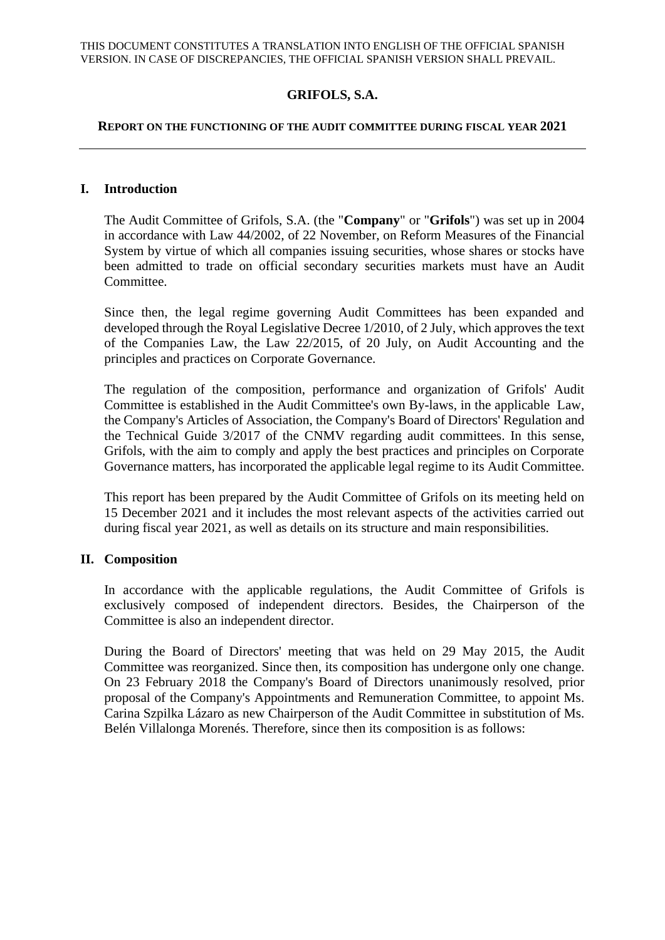# **GRIFOLS, S.A.**

#### **REPORT ON THE FUNCTIONING OF THE AUDIT COMMITTEE DURING FISCAL YEAR 2021**

#### **I. Introduction**

The Audit Committee of Grifols, S.A. (the "**Company**" or "**Grifols**") was set up in 2004 in accordance with Law 44/2002, of 22 November, on Reform Measures of the Financial System by virtue of which all companies issuing securities, whose shares or stocks have been admitted to trade on official secondary securities markets must have an Audit Committee.

Since then, the legal regime governing Audit Committees has been expanded and developed through the Royal Legislative Decree 1/2010, of 2 July, which approves the text of the Companies Law, the Law 22/2015, of 20 July, on Audit Accounting and the principles and practices on Corporate Governance.

The regulation of the composition, performance and organization of Grifols' Audit Committee is established in the Audit Committee's own By-laws, in the applicable Law, the Company's Articles of Association, the Company's Board of Directors' Regulation and the Technical Guide 3/2017 of the CNMV regarding audit committees. In this sense, Grifols, with the aim to comply and apply the best practices and principles on Corporate Governance matters, has incorporated the applicable legal regime to its Audit Committee.

This report has been prepared by the Audit Committee of Grifols on its meeting held on 15 December 2021 and it includes the most relevant aspects of the activities carried out during fiscal year 2021, as well as details on its structure and main responsibilities.

### **II. Composition**

In accordance with the applicable regulations, the Audit Committee of Grifols is exclusively composed of independent directors. Besides, the Chairperson of the Committee is also an independent director.

During the Board of Directors' meeting that was held on 29 May 2015, the Audit Committee was reorganized. Since then, its composition has undergone only one change. On 23 February 2018 the Company's Board of Directors unanimously resolved, prior proposal of the Company's Appointments and Remuneration Committee, to appoint Ms. Carina Szpilka Lázaro as new Chairperson of the Audit Committee in substitution of Ms. Belén Villalonga Morenés. Therefore, since then its composition is as follows: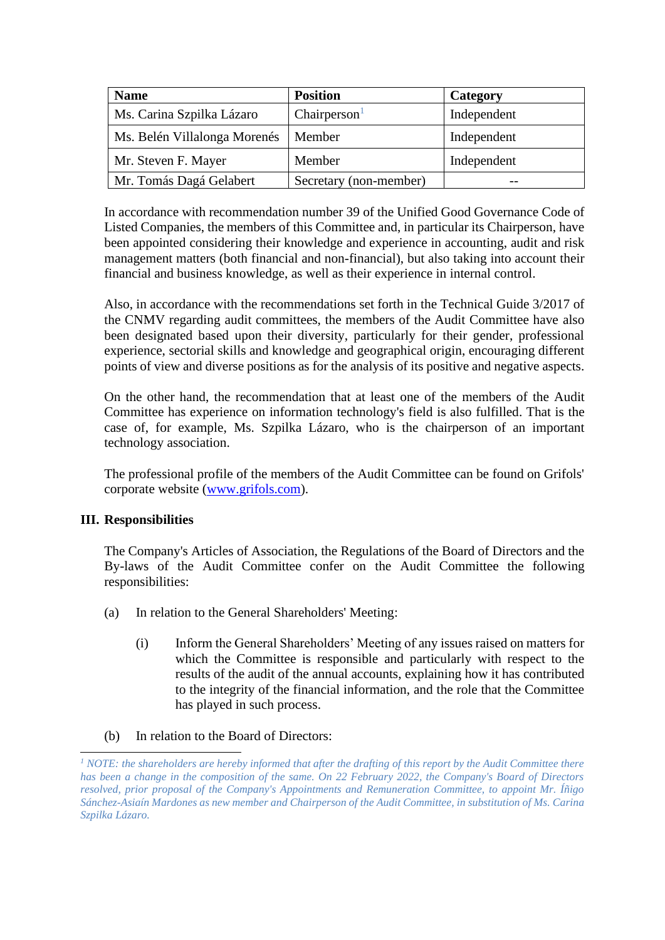| <b>Name</b>                  | <b>Position</b>          | Category    |
|------------------------------|--------------------------|-------------|
| Ms. Carina Szpilka Lázaro    | Chairperson <sup>1</sup> | Independent |
| Ms. Belén Villalonga Morenés | Member                   | Independent |
| Mr. Steven F. Mayer          | Member                   | Independent |
| Mr. Tomás Dagá Gelabert      | Secretary (non-member)   |             |

In accordance with recommendation number 39 of the Unified Good Governance Code of Listed Companies, the members of this Committee and, in particular its Chairperson, have been appointed considering their knowledge and experience in accounting, audit and risk management matters (both financial and non-financial), but also taking into account their financial and business knowledge, as well as their experience in internal control.

Also, in accordance with the recommendations set forth in the Technical Guide 3/2017 of the CNMV regarding audit committees, the members of the Audit Committee have also been designated based upon their diversity, particularly for their gender, professional experience, sectorial skills and knowledge and geographical origin, encouraging different points of view and diverse positions as for the analysis of its positive and negative aspects.

On the other hand, the recommendation that at least one of the members of the Audit Committee has experience on information technology's field is also fulfilled. That is the case of, for example, Ms. Szpilka Lázaro, who is the chairperson of an important technology association.

The professional profile of the members of the Audit Committee can be found on Grifols' corporate website [\(www.grifols.com\)](http://www.grifols.com/).

# **III. Responsibilities**

The Company's Articles of Association, the Regulations of the Board of Directors and the By-laws of the Audit Committee confer on the Audit Committee the following responsibilities:

- (a) In relation to the General Shareholders' Meeting:
	- (i) Inform the General Shareholders' Meeting of any issues raised on matters for which the Committee is responsible and particularly with respect to the results of the audit of the annual accounts, explaining how it has contributed to the integrity of the financial information, and the role that the Committee has played in such process.
- (b) In relation to the Board of Directors:

*<sup>1</sup> NOTE: the shareholders are hereby informed that after the drafting of this report by the Audit Committee there has been a change in the composition of the same. On 22 February 2022, the Company's Board of Directors resolved, prior proposal of the Company's Appointments and Remuneration Committee, to appoint Mr. Íñigo Sánchez-Asiaín Mardones as new member and Chairperson of the Audit Committee, in substitution of Ms. Carina Szpilka Lázaro.*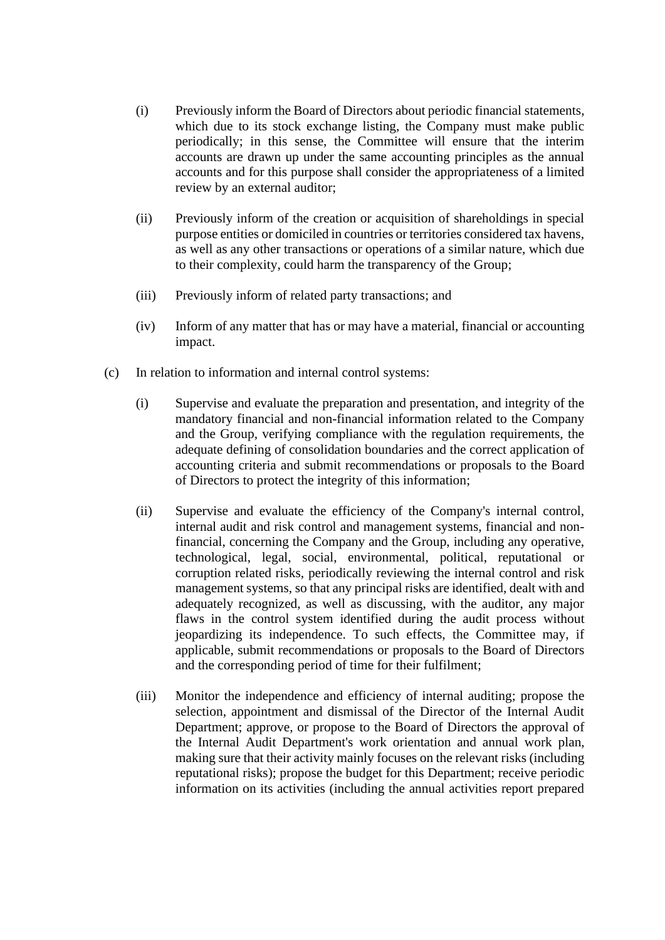- (i) Previously inform the Board of Directors about periodic financial statements, which due to its stock exchange listing, the Company must make public periodically; in this sense, the Committee will ensure that the interim accounts are drawn up under the same accounting principles as the annual accounts and for this purpose shall consider the appropriateness of a limited review by an external auditor;
- (ii) Previously inform of the creation or acquisition of shareholdings in special purpose entities or domiciled in countries or territories considered tax havens, as well as any other transactions or operations of a similar nature, which due to their complexity, could harm the transparency of the Group;
- (iii) Previously inform of related party transactions; and
- (iv) Inform of any matter that has or may have a material, financial or accounting impact.
- (c) In relation to information and internal control systems:
	- (i) Supervise and evaluate the preparation and presentation, and integrity of the mandatory financial and non-financial information related to the Company and the Group, verifying compliance with the regulation requirements, the adequate defining of consolidation boundaries and the correct application of accounting criteria and submit recommendations or proposals to the Board of Directors to protect the integrity of this information;
	- (ii) Supervise and evaluate the efficiency of the Company's internal control, internal audit and risk control and management systems, financial and nonfinancial, concerning the Company and the Group, including any operative, technological, legal, social, environmental, political, reputational or corruption related risks, periodically reviewing the internal control and risk management systems, so that any principal risks are identified, dealt with and adequately recognized, as well as discussing, with the auditor, any major flaws in the control system identified during the audit process without jeopardizing its independence. To such effects, the Committee may, if applicable, submit recommendations or proposals to the Board of Directors and the corresponding period of time for their fulfilment;
	- (iii) Monitor the independence and efficiency of internal auditing; propose the selection, appointment and dismissal of the Director of the Internal Audit Department; approve, or propose to the Board of Directors the approval of the Internal Audit Department's work orientation and annual work plan, making sure that their activity mainly focuses on the relevant risks (including reputational risks); propose the budget for this Department; receive periodic information on its activities (including the annual activities report prepared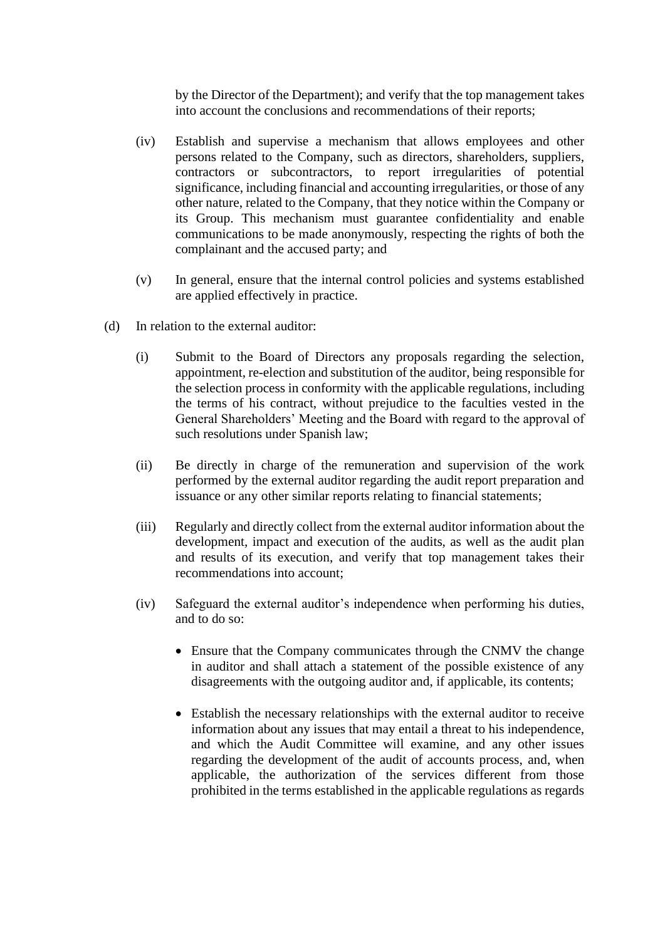by the Director of the Department); and verify that the top management takes into account the conclusions and recommendations of their reports;

- (iv) Establish and supervise a mechanism that allows employees and other persons related to the Company, such as directors, shareholders, suppliers, contractors or subcontractors, to report irregularities of potential significance, including financial and accounting irregularities, or those of any other nature, related to the Company, that they notice within the Company or its Group. This mechanism must guarantee confidentiality and enable communications to be made anonymously, respecting the rights of both the complainant and the accused party; and
- (v) In general, ensure that the internal control policies and systems established are applied effectively in practice.
- (d) In relation to the external auditor:
	- (i) Submit to the Board of Directors any proposals regarding the selection, appointment, re-election and substitution of the auditor, being responsible for the selection process in conformity with the applicable regulations, including the terms of his contract, without prejudice to the faculties vested in the General Shareholders' Meeting and the Board with regard to the approval of such resolutions under Spanish law;
	- (ii) Be directly in charge of the remuneration and supervision of the work performed by the external auditor regarding the audit report preparation and issuance or any other similar reports relating to financial statements;
	- (iii) Regularly and directly collect from the external auditor information about the development, impact and execution of the audits, as well as the audit plan and results of its execution, and verify that top management takes their recommendations into account;
	- (iv) Safeguard the external auditor's independence when performing his duties, and to do so:
		- Ensure that the Company communicates through the CNMV the change in auditor and shall attach a statement of the possible existence of any disagreements with the outgoing auditor and, if applicable, its contents;
		- Establish the necessary relationships with the external auditor to receive information about any issues that may entail a threat to his independence, and which the Audit Committee will examine, and any other issues regarding the development of the audit of accounts process, and, when applicable, the authorization of the services different from those prohibited in the terms established in the applicable regulations as regards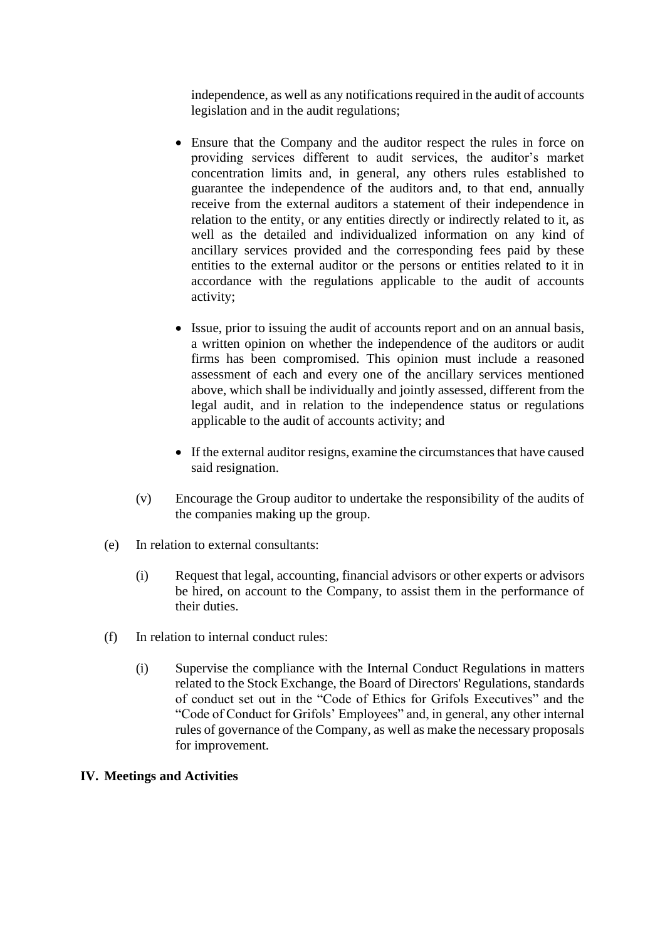independence, as well as any notifications required in the audit of accounts legislation and in the audit regulations;

- Ensure that the Company and the auditor respect the rules in force on providing services different to audit services, the auditor's market concentration limits and, in general, any others rules established to guarantee the independence of the auditors and, to that end, annually receive from the external auditors a statement of their independence in relation to the entity, or any entities directly or indirectly related to it, as well as the detailed and individualized information on any kind of ancillary services provided and the corresponding fees paid by these entities to the external auditor or the persons or entities related to it in accordance with the regulations applicable to the audit of accounts activity;
- Issue, prior to issuing the audit of accounts report and on an annual basis, a written opinion on whether the independence of the auditors or audit firms has been compromised. This opinion must include a reasoned assessment of each and every one of the ancillary services mentioned above, which shall be individually and jointly assessed, different from the legal audit, and in relation to the independence status or regulations applicable to the audit of accounts activity; and
- If the external auditor resigns, examine the circumstances that have caused said resignation.
- (v) Encourage the Group auditor to undertake the responsibility of the audits of the companies making up the group.
- (e) In relation to external consultants:
	- (i) Request that legal, accounting, financial advisors or other experts or advisors be hired, on account to the Company, to assist them in the performance of their duties.
- (f) In relation to internal conduct rules:
	- (i) Supervise the compliance with the Internal Conduct Regulations in matters related to the Stock Exchange, the Board of Directors' Regulations, standards of conduct set out in the "Code of Ethics for Grifols Executives" and the "Code of Conduct for Grifols' Employees" and, in general, any other internal rules of governance of the Company, as well as make the necessary proposals for improvement.

### **IV. Meetings and Activities**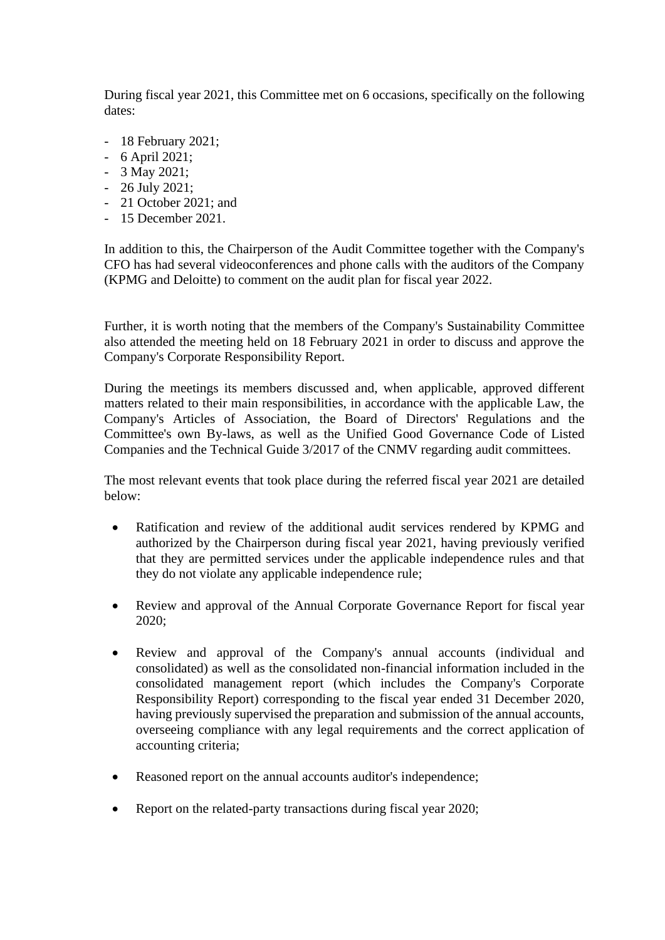During fiscal year 2021, this Committee met on 6 occasions, specifically on the following dates:

- 18 February 2021;
- 6 April 2021;
- 3 May 2021;
- 26 July 2021;
- 21 October 2021; and
- 15 December 2021.

In addition to this, the Chairperson of the Audit Committee together with the Company's CFO has had several videoconferences and phone calls with the auditors of the Company (KPMG and Deloitte) to comment on the audit plan for fiscal year 2022.

Further, it is worth noting that the members of the Company's Sustainability Committee also attended the meeting held on 18 February 2021 in order to discuss and approve the Company's Corporate Responsibility Report.

During the meetings its members discussed and, when applicable, approved different matters related to their main responsibilities, in accordance with the applicable Law, the Company's Articles of Association, the Board of Directors' Regulations and the Committee's own By-laws, as well as the Unified Good Governance Code of Listed Companies and the Technical Guide 3/2017 of the CNMV regarding audit committees.

The most relevant events that took place during the referred fiscal year 2021 are detailed below:

- Ratification and review of the additional audit services rendered by KPMG and authorized by the Chairperson during fiscal year 2021, having previously verified that they are permitted services under the applicable independence rules and that they do not violate any applicable independence rule;
- Review and approval of the Annual Corporate Governance Report for fiscal year 2020;
- Review and approval of the Company's annual accounts (individual and consolidated) as well as the consolidated non-financial information included in the consolidated management report (which includes the Company's Corporate Responsibility Report) corresponding to the fiscal year ended 31 December 2020, having previously supervised the preparation and submission of the annual accounts, overseeing compliance with any legal requirements and the correct application of accounting criteria;
- Reasoned report on the annual accounts auditor's independence;
- Report on the related-party transactions during fiscal year 2020;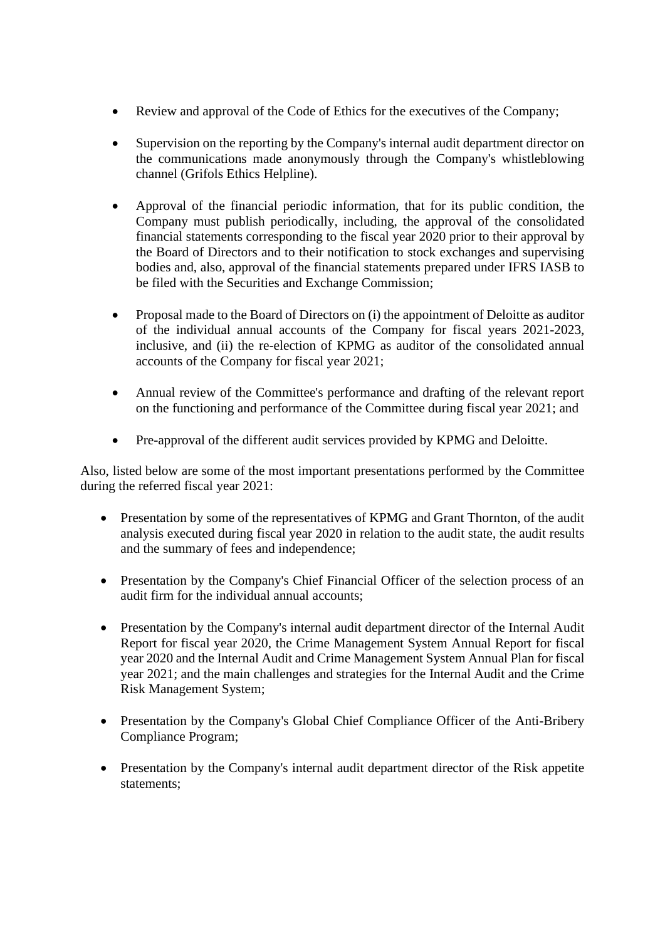- Review and approval of the Code of Ethics for the executives of the Company;
- Supervision on the reporting by the Company's internal audit department director on the communications made anonymously through the Company's whistleblowing channel (Grifols Ethics Helpline).
- Approval of the financial periodic information, that for its public condition, the Company must publish periodically, including, the approval of the consolidated financial statements corresponding to the fiscal year 2020 prior to their approval by the Board of Directors and to their notification to stock exchanges and supervising bodies and, also, approval of the financial statements prepared under IFRS IASB to be filed with the Securities and Exchange Commission;
- Proposal made to the Board of Directors on (i) the appointment of Deloitte as auditor of the individual annual accounts of the Company for fiscal years 2021-2023, inclusive, and (ii) the re-election of KPMG as auditor of the consolidated annual accounts of the Company for fiscal year 2021;
- Annual review of the Committee's performance and drafting of the relevant report on the functioning and performance of the Committee during fiscal year 2021; and
- Pre-approval of the different audit services provided by KPMG and Deloitte.

Also, listed below are some of the most important presentations performed by the Committee during the referred fiscal year 2021:

- Presentation by some of the representatives of KPMG and Grant Thornton, of the audit analysis executed during fiscal year 2020 in relation to the audit state, the audit results and the summary of fees and independence;
- Presentation by the Company's Chief Financial Officer of the selection process of an audit firm for the individual annual accounts;
- Presentation by the Company's internal audit department director of the Internal Audit Report for fiscal year 2020, the Crime Management System Annual Report for fiscal year 2020 and the Internal Audit and Crime Management System Annual Plan for fiscal year 2021; and the main challenges and strategies for the Internal Audit and the Crime Risk Management System;
- Presentation by the Company's Global Chief Compliance Officer of the Anti-Bribery Compliance Program;
- Presentation by the Company's internal audit department director of the Risk appetite statements;